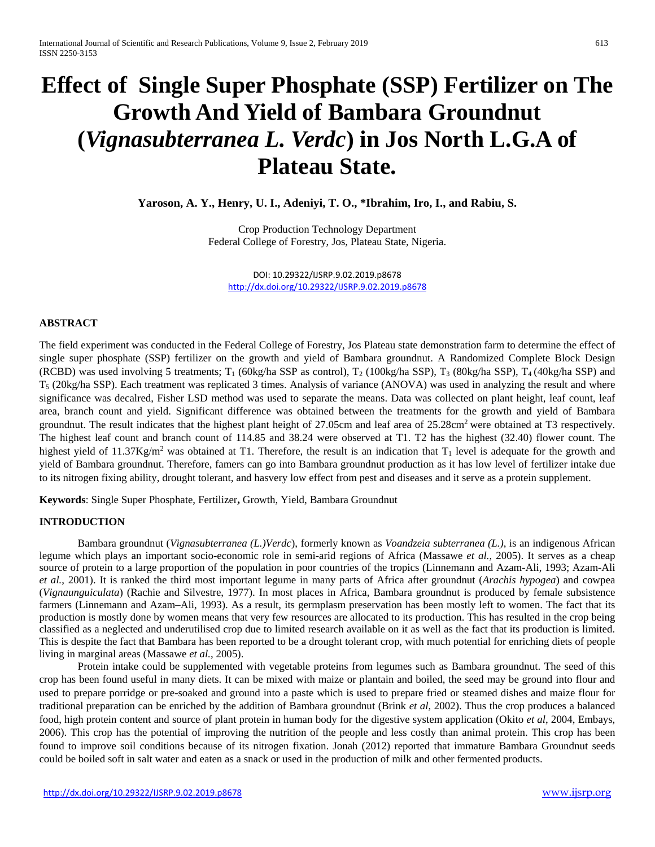# **Effect of Single Super Phosphate (SSP) Fertilizer on The Growth And Yield of Bambara Groundnut (***Vignasubterranea L. Verdc***) in Jos North L.G.A of Plateau State.**

**Yaroson, A. Y., Henry, U. I., Adeniyi, T. O., \*Ibrahim, Iro, I., and Rabiu, S.**

Crop Production Technology Department Federal College of Forestry, Jos, Plateau State, Nigeria.

DOI: 10.29322/IJSRP.9.02.2019.p8678 <http://dx.doi.org/10.29322/IJSRP.9.02.2019.p8678>

## **ABSTRACT**

The field experiment was conducted in the Federal College of Forestry, Jos Plateau state demonstration farm to determine the effect of single super phosphate (SSP) fertilizer on the growth and yield of Bambara groundnut. A Randomized Complete Block Design (RCBD) was used involving 5 treatments;  $T_1$  (60kg/ha SSP as control),  $T_2$  (100kg/ha SSP),  $T_3$  (80kg/ha SSP),  $T_4$  (40kg/ha SSP) and  $T_5$  (20kg/ha SSP). Each treatment was replicated 3 times. Analysis of variance (ANOVA) was used in analyzing the result and where significance was decalred, Fisher LSD method was used to separate the means. Data was collected on plant height, leaf count, leaf area, branch count and yield. Significant difference was obtained between the treatments for the growth and yield of Bambara groundnut. The result indicates that the highest plant height of 27.05cm and leaf area of  $25.28 \text{cm}^2$  were obtained at T3 respectively. The highest leaf count and branch count of 114.85 and 38.24 were observed at T1. T2 has the highest (32.40) flower count. The highest yield of 11.37Kg/m<sup>2</sup> was obtained at T1. Therefore, the result is an indication that  $T_1$  level is adequate for the growth and yield of Bambara groundnut. Therefore, famers can go into Bambara groundnut production as it has low level of fertilizer intake due to its nitrogen fixing ability, drought tolerant, and hasvery low effect from pest and diseases and it serve as a protein supplement.

**Keywords**: Single Super Phosphate, Fertilizer**,** Growth, Yield, Bambara Groundnut

#### **INTRODUCTION**

Bambara groundnut (*Vignasubterranea (L.)Verdc*), formerly known as *Voandzeia subterranea (L.)*, is an indigenous African legume which plays an important socio-economic role in semi-arid regions of Africa (Massawe *et al.*, 2005). It serves as a cheap source of protein to a large proportion of the population in poor countries of the tropics (Linnemann and Azam-Ali, 1993; Azam-Ali *et al.*, 2001). It is ranked the third most important legume in many parts of Africa after groundnut (*Arachis hypogea*) and cowpea (*Vignaunguiculata*) (Rachie and Silvestre, 1977). In most places in Africa, Bambara groundnut is produced by female subsistence farmers (Linnemann and Azam–Ali, 1993). As a result, its germplasm preservation has been mostly left to women. The fact that its production is mostly done by women means that very few resources are allocated to its production. This has resulted in the crop being classified as a neglected and underutilised crop due to limited research available on it as well as the fact that its production is limited. This is despite the fact that Bambara has been reported to be a drought tolerant crop, with much potential for enriching diets of people living in marginal areas (Massawe *et al.*, 2005).

Protein intake could be supplemented with vegetable proteins from legumes such as Bambara groundnut. The seed of this crop has been found useful in many diets. It can be mixed with maize or plantain and boiled, the seed may be ground into flour and used to prepare porridge or pre-soaked and ground into a paste which is used to prepare fried or steamed dishes and maize flour for traditional preparation can be enriched by the addition of Bambara groundnut (Brink *et al*, 2002). Thus the crop produces a balanced food, high protein content and source of plant protein in human body for the digestive system application (Okito *et al*, 2004, Embays, 2006). This crop has the potential of improving the nutrition of the people and less costly than animal protein. This crop has been found to improve soil conditions because of its nitrogen fixation. Jonah (2012) reported that immature Bambara Groundnut seeds could be boiled soft in salt water and eaten as a snack or used in the production of milk and other fermented products.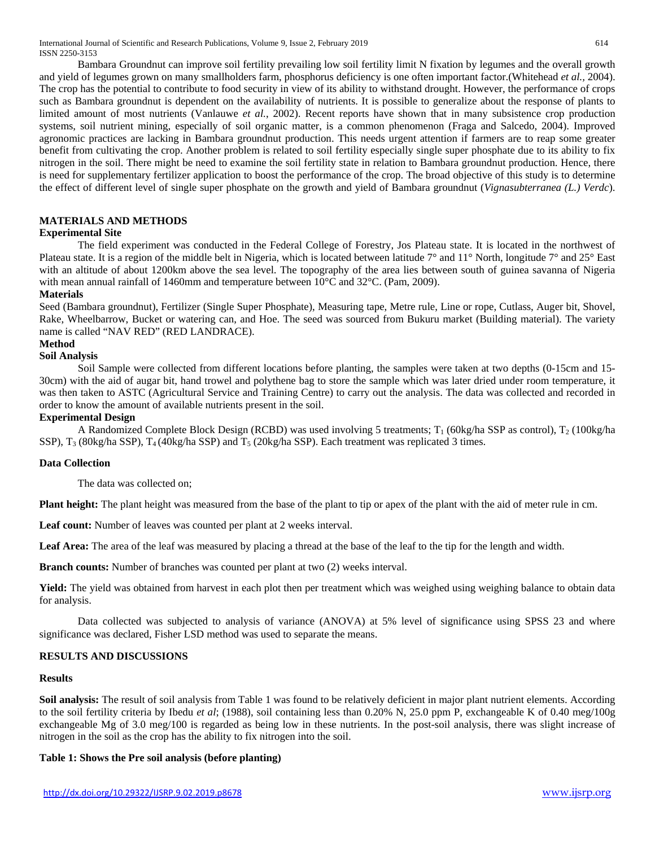International Journal of Scientific and Research Publications, Volume 9, Issue 2, February 2019 614 ISSN 2250-3153

Bambara Groundnut can improve soil fertility prevailing low soil fertility limit N fixation by legumes and the overall growth and yield of legumes grown on many smallholders farm, phosphorus deficiency is one often important factor.(Whitehead *et al.,* 2004). The crop has the potential to contribute to food security in view of its ability to withstand drought. However, the performance of crops such as Bambara groundnut is dependent on the availability of nutrients. It is possible to generalize about the response of plants to limited amount of most nutrients (Vanlauwe *et al.*, 2002). Recent reports have shown that in many subsistence crop production systems, soil nutrient mining, especially of soil organic matter, is a common phenomenon (Fraga and Salcedo, 2004). Improved agronomic practices are lacking in Bambara groundnut production. This needs urgent attention if farmers are to reap some greater benefit from cultivating the crop. Another problem is related to soil fertility especially single super phosphate due to its ability to fix nitrogen in the soil. There might be need to examine the soil fertility state in relation to Bambara groundnut production. Hence, there is need for supplementary fertilizer application to boost the performance of the crop. The broad objective of this study is to determine the effect of different level of single super phosphate on the growth and yield of Bambara groundnut (*Vignasubterranea (L.) Verdc*).

## **MATERIALS AND METHODS**

## **Experimental Site**

The field experiment was conducted in the Federal College of Forestry, Jos Plateau state. It is located in the northwest of Plateau state. It is a region of the middle belt in Nigeria, which is located between latitude  $7^\circ$  and  $11^\circ$  North, longitude  $7^\circ$  and  $25^\circ$  East with an altitude of about 1200km above the sea level. The topography of the area lies between south of guinea savanna of Nigeria with mean annual rainfall of 1460mm and temperature between  $10^{\circ}$ C and  $32^{\circ}$ C. (Pam, 2009).

#### **Materials**

Seed (Bambara groundnut), Fertilizer (Single Super Phosphate), Measuring tape, Metre rule, Line or rope, Cutlass, Auger bit, Shovel, Rake, Wheelbarrow, Bucket or watering can, and Hoe. The seed was sourced from Bukuru market (Building material). The variety name is called "NAV RED" (RED LANDRACE).

#### **Method**

#### **Soil Analysis**

Soil Sample were collected from different locations before planting, the samples were taken at two depths (0-15cm and 15- 30cm) with the aid of augar bit, hand trowel and polythene bag to store the sample which was later dried under room temperature, it was then taken to ASTC (Agricultural Service and Training Centre) to carry out the analysis. The data was collected and recorded in order to know the amount of available nutrients present in the soil.

#### **Experimental Design**

A Randomized Complete Block Design (RCBD) was used involving 5 treatments;  $T_1$  (60kg/ha SSP as control),  $T_2$  (100kg/ha SSP),  $T_3$  (80kg/ha SSP),  $T_4$  (40kg/ha SSP) and  $T_5$  (20kg/ha SSP). Each treatment was replicated 3 times.

#### **Data Collection**

The data was collected on;

**Plant height:** The plant height was measured from the base of the plant to tip or apex of the plant with the aid of meter rule in cm.

Leaf count: Number of leaves was counted per plant at 2 weeks interval.

Leaf Area: The area of the leaf was measured by placing a thread at the base of the leaf to the tip for the length and width.

**Branch counts:** Number of branches was counted per plant at two (2) weeks interval.

Yield: The yield was obtained from harvest in each plot then per treatment which was weighed using weighing balance to obtain data for analysis.

Data collected was subjected to analysis of variance (ANOVA) at 5% level of significance using SPSS 23 and where significance was declared, Fisher LSD method was used to separate the means.

## **RESULTS AND DISCUSSIONS**

#### **Results**

**Soil analysis:** The result of soil analysis from Table 1 was found to be relatively deficient in major plant nutrient elements. According to the soil fertility criteria by Ibedu *et al*; (1988), soil containing less than 0.20% N, 25.0 ppm P, exchangeable K of 0.40 meg/100g exchangeable Mg of 3.0 meg/100 is regarded as being low in these nutrients. In the post-soil analysis, there was slight increase of nitrogen in the soil as the crop has the ability to fix nitrogen into the soil.

#### **Table 1: Shows the Pre soil analysis (before planting)**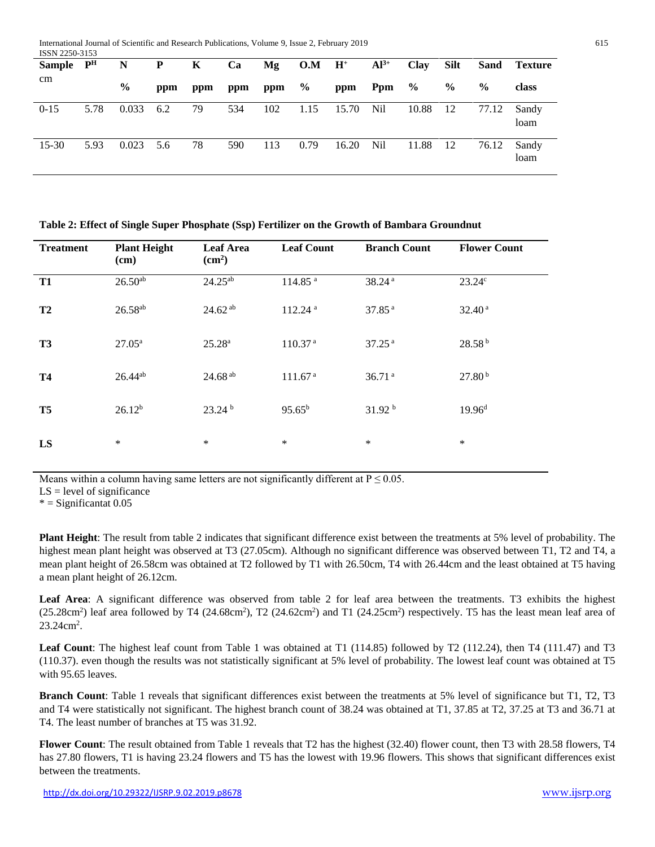| 1001 1 2200 J 100<br><b>Sample</b> | $\mathbf{P}^{\mathbf{H}}$ | N             | P   | K   | Ca  | Mg  | $O.M$ H <sup>+</sup> |       | $Al^{3+}$ | <b>Clay</b> | Silt          |               | <b>Sand Texture</b> |
|------------------------------------|---------------------------|---------------|-----|-----|-----|-----|----------------------|-------|-----------|-------------|---------------|---------------|---------------------|
| cm                                 |                           | $\frac{6}{9}$ | ppm | ppm | ppm | ppm | $\%$                 | ppm   | Ppm       | $\%$        | $\frac{6}{9}$ | $\frac{0}{0}$ | class               |
| $0 - 15$                           | 5.78                      | 0.033         | 6.2 | 79  | 534 | 102 | 1.15                 | 15.70 | Nil       | 10.88       | -12           | 77.12         | Sandy<br>loam       |
| $15 - 30$                          | 5.93                      | 0.023         | 5.6 | 78  | 590 | 113 | 0.79                 | 16.20 | Nil       | 11.88       | -12           | 76.12         | Sandy<br>loam       |

|  | Table 2: Effect of Single Super Phosphate (Ssp) Fertilizer on the Growth of Bambara Groundnut |  |  |  |
|--|-----------------------------------------------------------------------------------------------|--|--|--|
|  |                                                                                               |  |  |  |

| <b>Treatment</b> | <b>Plant Height</b><br>(cm) | <b>Leaf Area</b><br>(cm <sup>2</sup> ) | <b>Leaf Count</b>   | <b>Branch Count</b> | <b>Flower Count</b> |  |
|------------------|-----------------------------|----------------------------------------|---------------------|---------------------|---------------------|--|
| T <sub>1</sub>   | $26.50^{ab}$                | $24.25^{ab}$                           | 114.85 <sup>a</sup> | 38.24 <sup>a</sup>  | 23.24c              |  |
| T <sub>2</sub>   | $26.58^{ab}$                | $24.62^{ab}$                           | 112.24 <sup>a</sup> | 37.85 <sup>a</sup>  | 32.40 <sup>a</sup>  |  |
| T <sub>3</sub>   | $27.05^{\rm a}$             | $25.28^{a}$                            | 110.37 <sup>a</sup> | 37.25 <sup>a</sup>  | 28.58 <sup>b</sup>  |  |
| <b>T4</b>        | $26.44^{ab}$                | 24.68 ab                               | 111.67 <sup>a</sup> | 36.71 <sup>a</sup>  | 27.80 <sup>b</sup>  |  |
| T <sub>5</sub>   | $26.12^{b}$                 | 23.24 <sup>b</sup>                     | $95.65^{b}$         | 31.92 <sup>b</sup>  | 19.96 <sup>d</sup>  |  |
| LS               | $\ast$                      | $\ast$                                 | $\ast$              | $\ast$              | $\ast$              |  |

Means within a column having same letters are not significantly different at  $P \le 0.05$ .

 $LS = level of significance$ 

 $*$  = Significantat 0.05

**Plant Height**: The result from table 2 indicates that significant difference exist between the treatments at 5% level of probability. The highest mean plant height was observed at T3 (27.05cm). Although no significant difference was observed between T1, T2 and T4, a mean plant height of 26.58cm was obtained at T2 followed by T1 with 26.50cm, T4 with 26.44cm and the least obtained at T5 having a mean plant height of 26.12cm.

**Leaf Area**: A significant difference was observed from table 2 for leaf area between the treatments. T3 exhibits the highest  $(25.28 \text{cm}^2)$  leaf area followed by T4  $(24.68 \text{cm}^2)$ , T2  $(24.62 \text{cm}^2)$  and T1  $(24.25 \text{cm}^2)$  respectively. T5 has the least mean leaf area of 23.24cm<sup>2</sup>.

**Leaf Count**: The highest leaf count from Table 1 was obtained at T1 (114.85) followed by T2 (112.24), then T4 (111.47) and T3 (110.37). even though the results was not statistically significant at 5% level of probability. The lowest leaf count was obtained at T5 with 95.65 leaves.

**Branch Count**: Table 1 reveals that significant differences exist between the treatments at 5% level of significance but T1, T2, T3 and T4 were statistically not significant. The highest branch count of 38.24 was obtained at T1, 37.85 at T2, 37.25 at T3 and 36.71 at T4. The least number of branches at T5 was 31.92.

**Flower Count**: The result obtained from Table 1 reveals that T2 has the highest (32.40) flower count, then T3 with 28.58 flowers, T4 has 27.80 flowers, T1 is having 23.24 flowers and T5 has the lowest with 19.96 flowers. This shows that significant differences exist between the treatments.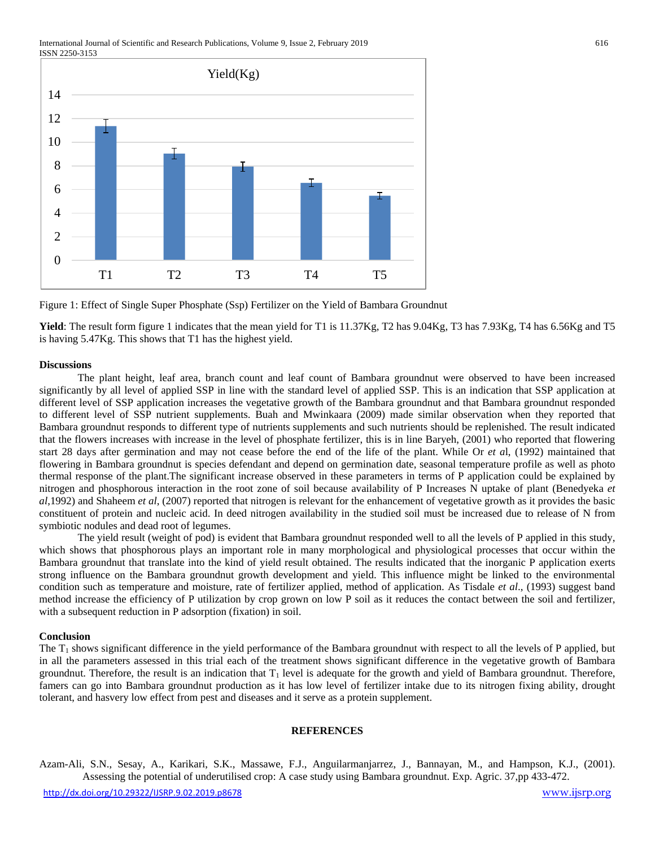International Journal of Scientific and Research Publications, Volume 9, Issue 2, February 2019 616 ISSN 2250-3153



Figure 1: Effect of Single Super Phosphate (Ssp) Fertilizer on the Yield of Bambara Groundnut

**Yield**: The result form figure 1 indicates that the mean yield for T1 is 11.37Kg, T2 has 9.04Kg, T3 has 7.93Kg, T4 has 6.56Kg and T5 is having 5.47Kg. This shows that T1 has the highest yield.

#### **Discussions**

The plant height, leaf area, branch count and leaf count of Bambara groundnut were observed to have been increased significantly by all level of applied SSP in line with the standard level of applied SSP. This is an indication that SSP application at different level of SSP application increases the vegetative growth of the Bambara groundnut and that Bambara groundnut responded to different level of SSP nutrient supplements. Buah and Mwinkaara (2009) made similar observation when they reported that Bambara groundnut responds to different type of nutrients supplements and such nutrients should be replenished. The result indicated that the flowers increases with increase in the level of phosphate fertilizer, this is in line Baryeh, (2001) who reported that flowering start 28 days after germination and may not cease before the end of the life of the plant. While Or *et a*l, (1992) maintained that flowering in Bambara groundnut is species defendant and depend on germination date, seasonal temperature profile as well as photo thermal response of the plant.The significant increase observed in these parameters in terms of P application could be explained by nitrogen and phosphorous interaction in the root zone of soil because availability of P Increases N uptake of plant (Benedyeka *et al*,1992) and Shaheem *et al*, (2007) reported that nitrogen is relevant for the enhancement of vegetative growth as it provides the basic constituent of protein and nucleic acid. In deed nitrogen availability in the studied soil must be increased due to release of N from symbiotic nodules and dead root of legumes.

The yield result (weight of pod) is evident that Bambara groundnut responded well to all the levels of P applied in this study, which shows that phosphorous plays an important role in many morphological and physiological processes that occur within the Bambara groundnut that translate into the kind of yield result obtained. The results indicated that the inorganic P application exerts strong influence on the Bambara groundnut growth development and yield. This influence might be linked to the environmental condition such as temperature and moisture, rate of fertilizer applied, method of application. As Tisdale *et al*., (1993) suggest band method increase the efficiency of P utilization by crop grown on low P soil as it reduces the contact between the soil and fertilizer, with a subsequent reduction in P adsorption (fixation) in soil.

#### **Conclusion**

The  $T_1$  shows significant difference in the yield performance of the Bambara groundnut with respect to all the levels of P applied, but in all the parameters assessed in this trial each of the treatment shows significant difference in the vegetative growth of Bambara groundnut. Therefore, the result is an indication that  $T_1$  level is adequate for the growth and yield of Bambara groundnut. Therefore, famers can go into Bambara groundnut production as it has low level of fertilizer intake due to its nitrogen fixing ability, drought tolerant, and hasvery low effect from pest and diseases and it serve as a protein supplement.

#### **REFERENCES**

Azam-Ali, S.N., Sesay, A., Karikari, S.K., Massawe, F.J., Anguilarmanjarrez, J., Bannayan, M., and Hampson, K.J., (2001). Assessing the potential of underutilised crop: A case study using Bambara groundnut. Exp. Agric. 37,pp 433-472.